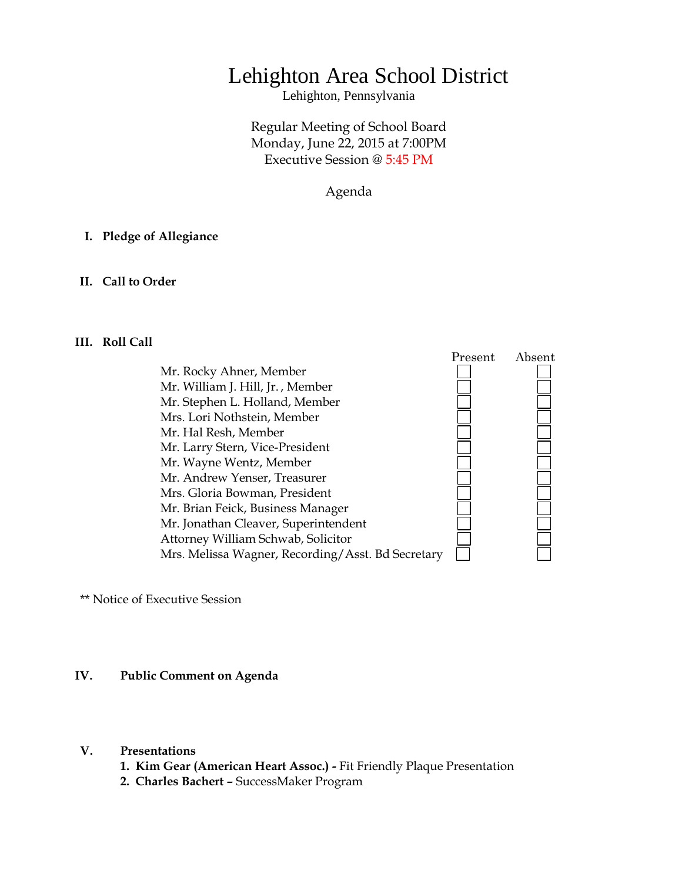# Lehighton Area School District

Lehighton, Pennsylvania

## Regular Meeting of School Board Monday, June 22, 2015 at 7:00PM Executive Session @ 5:45 PM

Agenda

## **I. Pledge of Allegiance**

## **II. Call to Order**

## **III. Roll Call**

Mr. Rocky Ahner, Member Mr. William J. Hill, Jr. , Member Mr. Stephen L. Holland, Member Mrs. Lori Nothstein, Member Mr. Hal Resh, Member Mr. Larry Stern, Vice-President Mr. Wayne Wentz, Member Mr. Andrew Yenser, Treasurer Mrs. Gloria Bowman, President Mr. Brian Feick, Business Manager Mr. Jonathan Cleaver, Superintendent Attorney William Schwab, Solicitor Mrs. Melissa Wagner, Recording/Asst. Bd Secretary



\*\* Notice of Executive Session

## **IV. Public Comment on Agenda**

#### **V. Presentations**

- **1. Kim Gear (American Heart Assoc.) -** Fit Friendly Plaque Presentation
- **2. Charles Bachert –** SuccessMaker Program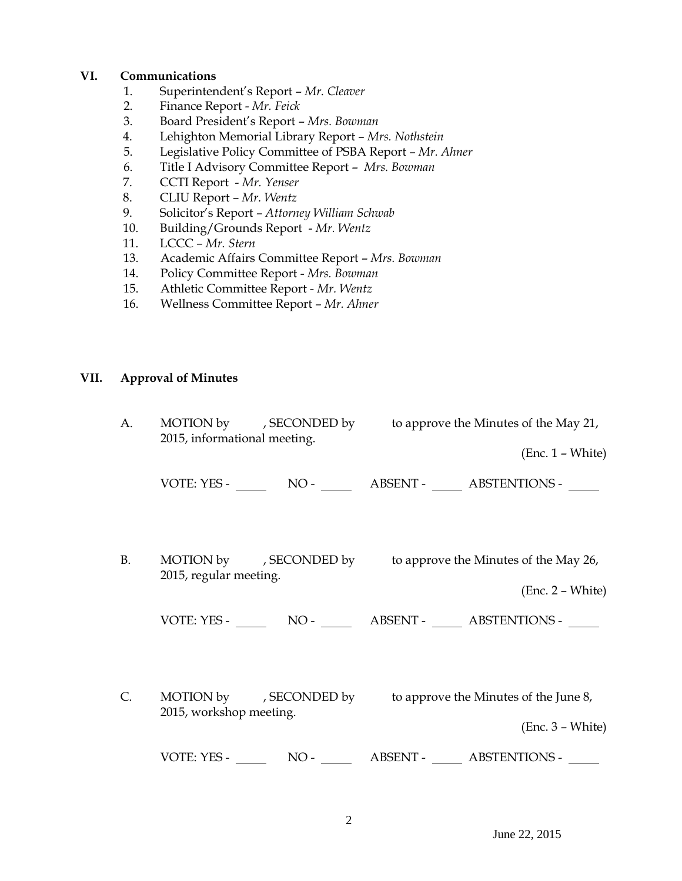## **VI. Communications**

- 1. Superintendent's Report *Mr. Cleaver*
- 2. Finance Report *- Mr. Feick*
- 3. Board President's Report *Mrs. Bowman*
- 4. Lehighton Memorial Library Report *Mrs. Nothstein*
- 5. Legislative Policy Committee of PSBA Report *Mr. Ahner*
- 6. Title I Advisory Committee Report *Mrs. Bowman*
- 7. CCTI Report *Mr. Yenser*
- 8. CLIU Report *Mr. Wentz*
- 9. Solicitor's Report *Attorney William Schwab*
- 10. Building/Grounds Report *Mr. Wentz*
- 11. LCCC *– Mr. Stern*
- 13. Academic Affairs Committee Report *Mrs. Bowman*
- 14. Policy Committee Report *Mrs. Bowman*
- 15. Athletic Committee Report *Mr. Wentz*
- 16. Wellness Committee Report *Mr. Ahner*

## **VII. Approval of Minutes**

A. MOTION by , SECONDED by to approve the Minutes of the May 21, 2015, informational meeting. (Enc. 1 – White) VOTE: YES - NO - ABSENT - ABSTENTIONS - B. MOTION by , SECONDED by to approve the Minutes of the May 26, 2015, regular meeting. (Enc. 2 – White) VOTE: YES - NO - ABSENT - ABSTENTIONS - C. MOTION by , SECONDED by to approve the Minutes of the June 8, 2015, workshop meeting. (Enc. 3 – White) VOTE: YES - NO - ABSENT - ABSTENTIONS -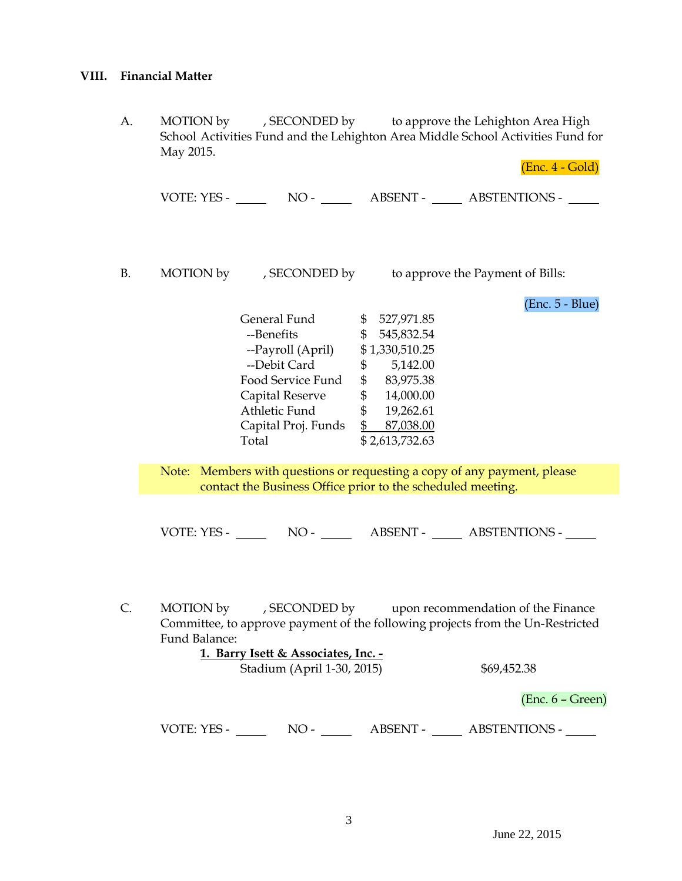## **VIII. Financial Matter**

A. MOTION by , SECONDED by to approve the Lehighton Area High School Activities Fund and the Lehighton Area Middle School Activities Fund for May 2015.

(Enc. 4 - Gold)

VOTE: YES - NO - NO - ABSENT - ABSTENTIONS -

B. MOTION by , SECONDED by to approve the Payment of Bills:

(Enc. 5 - Blue)

General Fund \$ 527,971.85 --Benefits \$ 545,832.54 --Payroll (April) \$1,330,510.25 --Debit Card \$ 5,142.00 Food Service Fund  $$83,975.38$ Capital Reserve \$ 14,000.00 Athletic Fund \$ 19,262.61 Capital Proj. Funds \$ 87,038.00 Total \$2,613,732.63

Note: Members with questions or requesting a copy of any payment, please contact the Business Office prior to the scheduled meeting.

VOTE: YES - NO - NO - ABSENT - ABSTENTIONS -

C. MOTION by , SECONDED by upon recommendation of the Finance Committee, to approve payment of the following projects from the Un-Restricted Fund Balance:

|             | 1. Barry Isett & Associates, Inc. - |                 |                      |  |
|-------------|-------------------------------------|-----------------|----------------------|--|
|             | Stadium (April 1-30, 2015)          | \$69,452.38     |                      |  |
|             |                                     |                 | $(Enc. 6 - Green)$   |  |
| VOTE: YES - | $NO -$                              | <b>ABSENT -</b> | <b>ABSTENTIONS -</b> |  |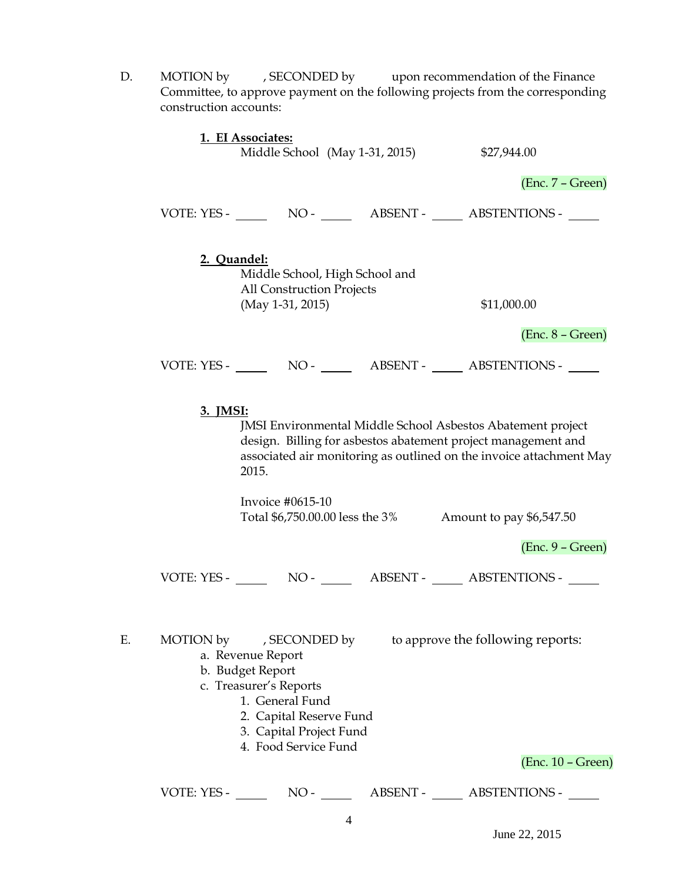- D. MOTION by , SECONDED by upon recommendation of the Finance Committee, to approve payment on the following projects from the corresponding construction accounts: **1. EI Associates:** Middle School (May 1-31, 2015) \$27,944.00 (Enc. 7 – Green) VOTE: YES - NO - NO - ABSENT - ABSTENTIONS -**2. Quandel:** Middle School, High School and All Construction Projects (May 1-31, 2015) \$11,000.00 (Enc. 8 – Green) VOTE: YES - NO - ABSENT - ABSTENTIONS - **3. JMSI:** JMSI Environmental Middle School Asbestos Abatement project design. Billing for asbestos abatement project management and associated air monitoring as outlined on the invoice attachment May 2015. Invoice #0615-10 Total \$6,750.00.00 less the 3% Amount to pay \$6,547.50 (Enc. 9 – Green) VOTE: YES - NO - NO - ABSENT - ABSTENTIONS -E. MOTION by , SECONDED by to approve the following reports: a. Revenue Report b. Budget Report c. Treasurer's Reports 1. General Fund
	- 2. Capital Reserve Fund
	- 3. Capital Project Fund
	- 4. Food Service Fund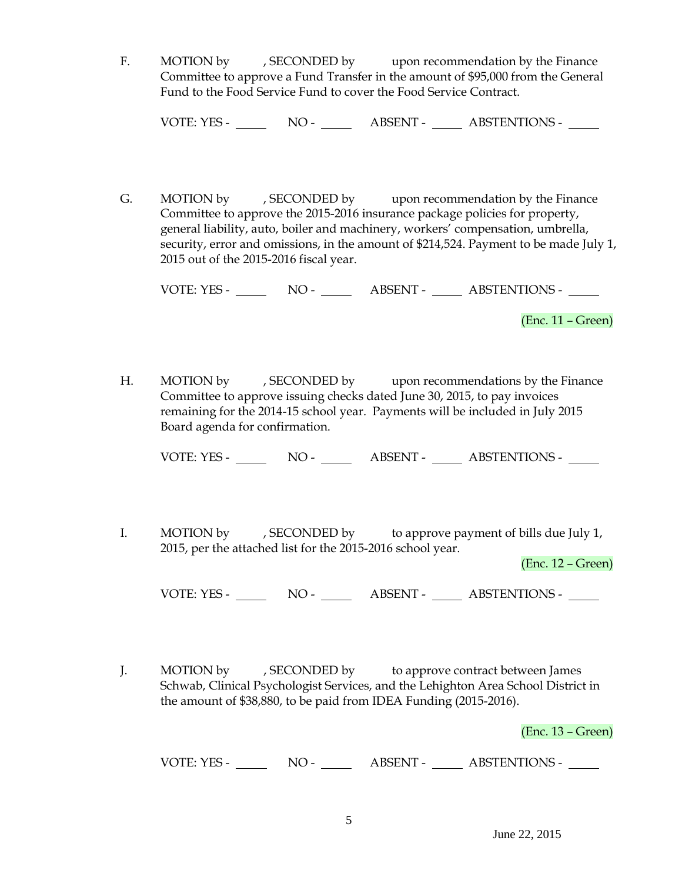F. MOTION by , SECONDED by upon recommendation by the Finance Committee to approve a Fund Transfer in the amount of \$95,000 from the General Fund to the Food Service Fund to cover the Food Service Contract.

VOTE: YES - NO - NO - ABSENT - ABSTENTIONS -

G. MOTION by , SECONDED by upon recommendation by the Finance Committee to approve the 2015-2016 insurance package policies for property, general liability, auto, boiler and machinery, workers' compensation, umbrella, security, error and omissions, in the amount of \$214,524. Payment to be made July 1, 2015 out of the 2015-2016 fiscal year.

VOTE: YES - NO - ABSENT - ABSTENTIONS -

(Enc. 11 – Green)

H. MOTION by , SECONDED by upon recommendations by the Finance Committee to approve issuing checks dated June 30, 2015, to pay invoices remaining for the 2014-15 school year. Payments will be included in July 2015 Board agenda for confirmation.

VOTE: YES - NO - NO - ABSENT - ABSTENTIONS -

I. MOTION by , SECONDED by to approve payment of bills due July 1, 2015, per the attached list for the 2015-2016 school year.

(Enc. 12 – Green)

VOTE: YES - NO - NO - ABSENT - ABSTENTIONS -

J. MOTION by , SECONDED by to approve contract between James Schwab, Clinical Psychologist Services, and the Lehighton Area School District in the amount of \$38,880, to be paid from IDEA Funding (2015-2016).

(Enc. 13 – Green)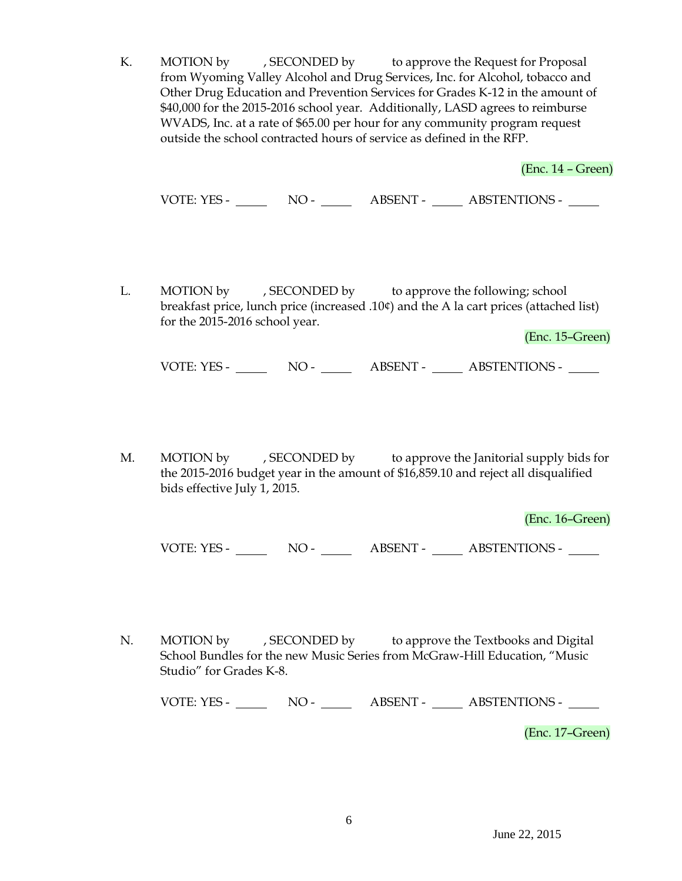K. MOTION by , SECONDED by to approve the Request for Proposal from Wyoming Valley Alcohol and Drug Services, Inc. for Alcohol, tobacco and Other Drug Education and Prevention Services for Grades K-12 in the amount of \$40,000 for the 2015-2016 school year. Additionally, LASD agrees to reimburse WVADS, Inc. at a rate of \$65.00 per hour for any community program request outside the school contracted hours of service as defined in the RFP.

(Enc. 14 – Green)

VOTE: YES - NO - NO - ABSENT - ABSTENTIONS -

L. MOTION by , SECONDED by to approve the following; school breakfast price, lunch price (increased .10¢) and the A la cart prices (attached list) for the 2015-2016 school year.

(Enc. 15–Green)

VOTE: YES - NO - NO - ABSENT - ABSTENTIONS -

M. MOTION by , SECONDED by to approve the Janitorial supply bids for the 2015-2016 budget year in the amount of \$16,859.10 and reject all disqualified bids effective July 1, 2015.

(Enc. 16–Green)

VOTE: YES - NO - NO - ABSENT - ABSTENTIONS -

N. MOTION by , SECONDED by to approve the Textbooks and Digital School Bundles for the new Music Series from McGraw-Hill Education, "Music Studio" for Grades K-8.

VOTE: YES - NO - NO - ABSENT - ABSTENTIONS -

(Enc. 17–Green)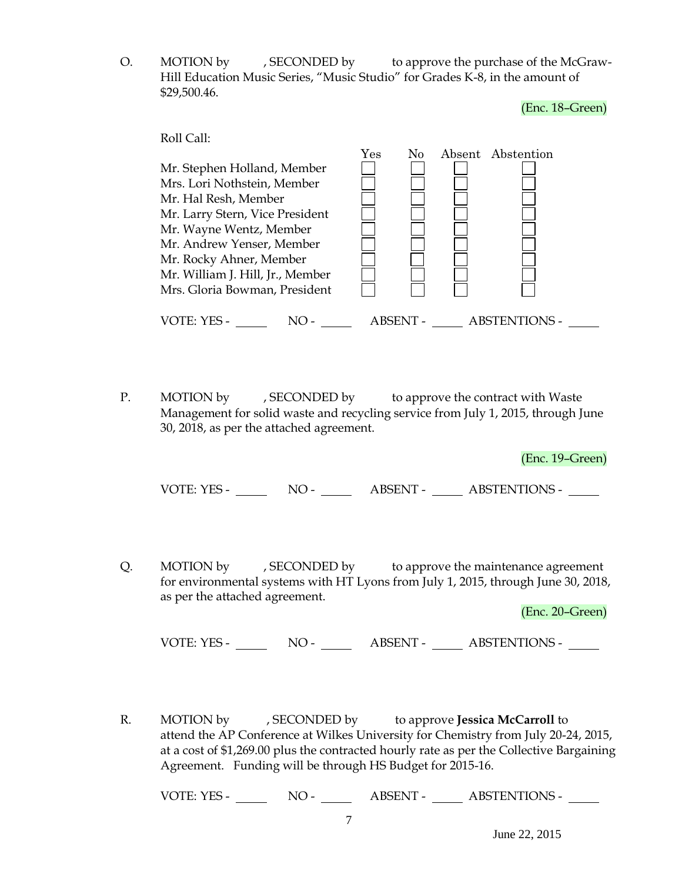O. MOTION by , SECONDED by to approve the purchase of the McGraw-Hill Education Music Series, "Music Studio" for Grades K-8, in the amount of \$29,500.46.

(Enc. 18–Green)

|                                  | Yes | N <sub>0</sub> | Absent Abstention |
|----------------------------------|-----|----------------|-------------------|
| Mr. Stephen Holland, Member      |     |                |                   |
| Mrs. Lori Nothstein, Member      |     |                |                   |
| Mr. Hal Resh, Member             |     |                |                   |
| Mr. Larry Stern, Vice President  |     |                |                   |
| Mr. Wayne Wentz, Member          |     |                |                   |
| Mr. Andrew Yenser, Member        |     |                |                   |
| Mr. Rocky Ahner, Member          |     |                |                   |
| Mr. William J. Hill, Jr., Member |     |                |                   |
| Mrs. Gloria Bowman, President    |     |                |                   |

P. MOTION by , SECONDED by to approve the contract with Waste Management for solid waste and recycling service from July 1, 2015, through June 30, 2018, as per the attached agreement.

(Enc. 19–Green)

VOTE: YES - NO - ABSENT - ABSTENTIONS -

Q. MOTION by , SECONDED by to approve the maintenance agreement for environmental systems with HT Lyons from July 1, 2015, through June 30, 2018, as per the attached agreement.

(Enc. 20–Green)

VOTE: YES - NO - ABSENT - ABSTENTIONS -

R. MOTION by , SECONDED by to approve **Jessica McCarroll** to attend the AP Conference at Wilkes University for Chemistry from July 20-24, 2015, at a cost of \$1,269.00 plus the contracted hourly rate as per the Collective Bargaining Agreement. Funding will be through HS Budget for 2015-16.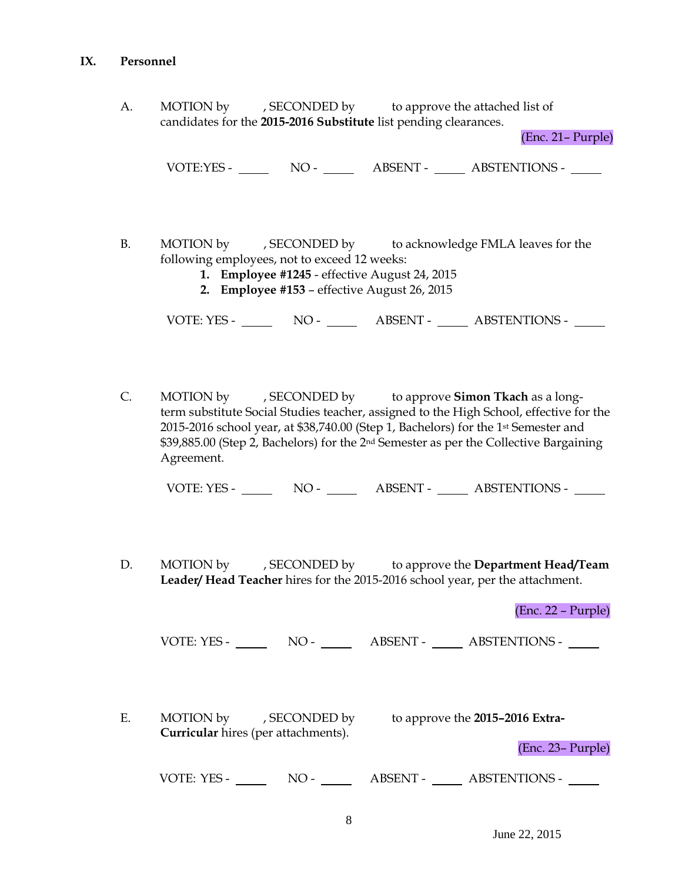## **IX. Personnel**

A. MOTION by , SECONDED by to approve the attached list of candidates for the **2015-2016 Substitute** list pending clearances.

(Enc. 21– Purple)

VOTE:YES - NO - NO - ABSENT - ABSTENTIONS - NO

- B. MOTION by , SECONDED by to acknowledge FMLA leaves for the following employees, not to exceed 12 weeks:
	- **1. Employee #1245** effective August 24, 2015
	- **2. Employee #153**  effective August 26, 2015

VOTE: YES - NO - NO - ABSENT - ABSTENTIONS -

C. MOTION by , SECONDED by to approve **Simon Tkach** as a longterm substitute Social Studies teacher, assigned to the High School, effective for the 2015-2016 school year, at \$38,740.00 (Step 1, Bachelors) for the 1st Semester and \$39,885.00 (Step 2, Bachelors) for the 2nd Semester as per the Collective Bargaining Agreement.

VOTE: YES - NO - NO - ABSENT - ABSTENTIONS -

D. MOTION by , SECONDED by to approve the **Department Head/Team Leader/ Head Teacher** hires for the 2015-2016 school year, per the attachment.

(Enc. 22 – Purple)

VOTE: YES - NO - ABSENT - ABSTENTIONS -

E. MOTION by , SECONDED by to approve the **2015–2016 Extra-Curricular** hires (per attachments).

(Enc. 23– Purple)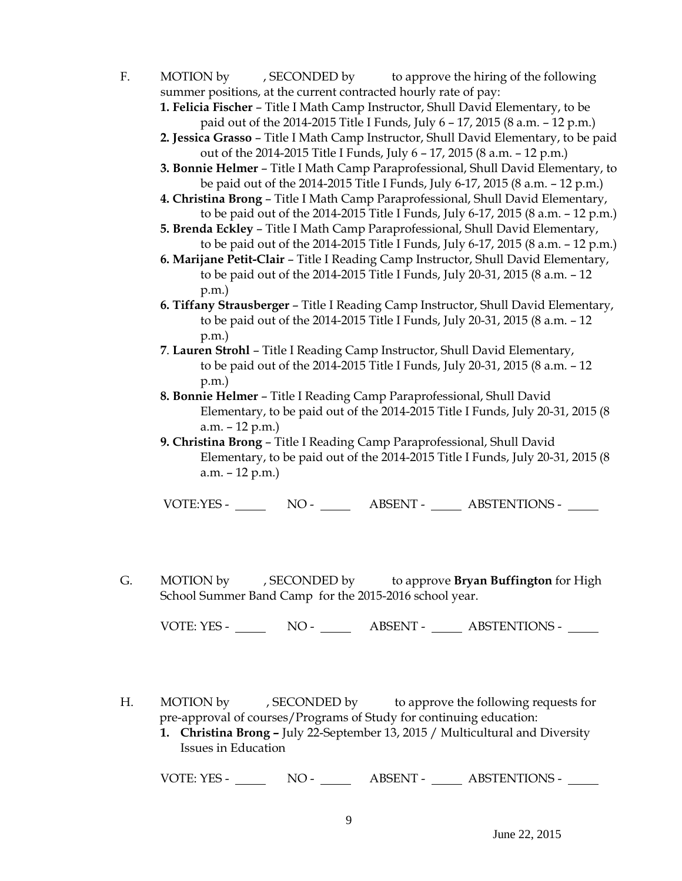- F. MOTION by , SECONDED by to approve the hiring of the following summer positions, at the current contracted hourly rate of pay:
	- **1. Felicia Fischer** Title I Math Camp Instructor, Shull David Elementary, to be paid out of the 2014-2015 Title I Funds, July 6 – 17, 2015 (8 a.m. – 12 p.m.)
	- **2. Jessica Grasso** Title I Math Camp Instructor, Shull David Elementary, to be paid out of the 2014-2015 Title I Funds, July 6 – 17, 2015 (8 a.m. – 12 p.m.)
	- **3. Bonnie Helmer**  Title I Math Camp Paraprofessional, Shull David Elementary, to be paid out of the 2014-2015 Title I Funds, July 6-17, 2015 (8 a.m. – 12 p.m.)
	- **4. Christina Brong**  Title I Math Camp Paraprofessional, Shull David Elementary, to be paid out of the 2014-2015 Title I Funds, July 6-17, 2015 (8 a.m. – 12 p.m.)
	- **5. Brenda Eckley** Title I Math Camp Paraprofessional, Shull David Elementary, to be paid out of the 2014-2015 Title I Funds, July 6-17, 2015 (8 a.m. – 12 p.m.)
	- **6. Marijane Petit-Clair**  Title I Reading Camp Instructor, Shull David Elementary, to be paid out of the 2014-2015 Title I Funds, July 20-31, 2015 (8 a.m. – 12 p.m.)
	- **6. Tiffany Strausberger**  Title I Reading Camp Instructor, Shull David Elementary, to be paid out of the 2014-2015 Title I Funds, July 20-31, 2015 (8 a.m. – 12 p.m.)
	- **7**. **Lauren Strohl**  Title I Reading Camp Instructor, Shull David Elementary, to be paid out of the 2014-2015 Title I Funds, July 20-31, 2015 (8 a.m. – 12 p.m.)
	- **8. Bonnie Helmer**  Title I Reading Camp Paraprofessional, Shull David Elementary, to be paid out of the 2014-2015 Title I Funds, July 20-31, 2015 (8 a.m. – 12 p.m.)
	- **9. Christina Brong** Title I Reading Camp Paraprofessional, Shull David Elementary, to be paid out of the 2014-2015 Title I Funds, July 20-31, 2015 (8 a.m. – 12 p.m.)

VOTE:YES - NO - NO - ABSENT - ABSTENTIONS -

G. MOTION by , SECONDED by to approve **Bryan Buffington** for High School Summer Band Camp for the 2015-2016 school year.

VOTE: YES - NO - NO - ABSENT - ABSTENTIONS -

- H. MOTION by , SECONDED by to approve the following requests for pre-approval of courses/Programs of Study for continuing education:
	- **1. Christina Brong –** July 22-September 13, 2015 / Multicultural and Diversity Issues in Education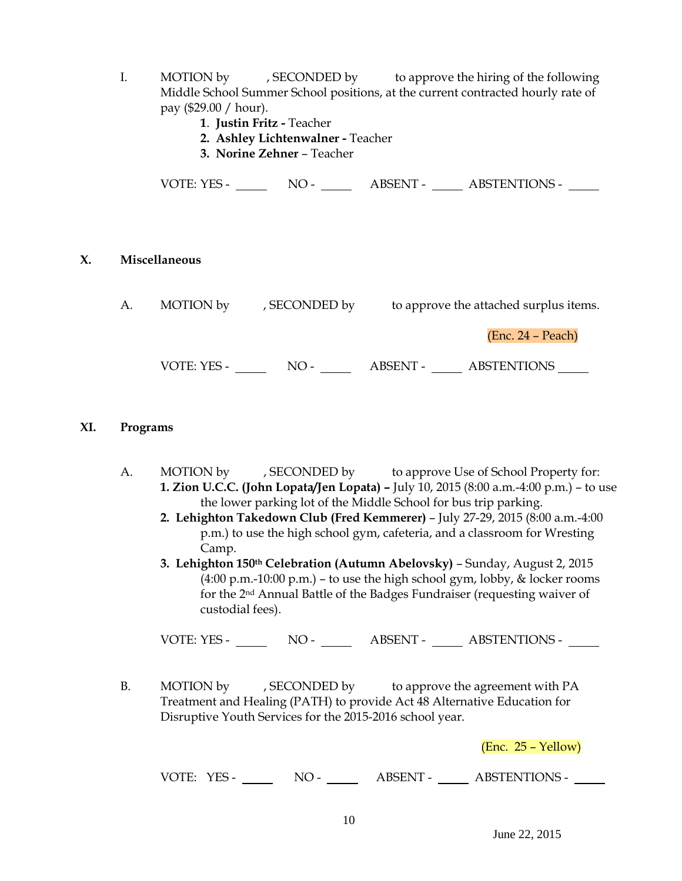- I. MOTION by , SECONDED by to approve the hiring of the following Middle School Summer School positions, at the current contracted hourly rate of pay (\$29.00 / hour).
	- **1**. **Justin Fritz -** Teacher
	- **2. Ashley Lichtenwalner -** Teacher
	- **3. Norine Zehner** Teacher

VOTE: YES - NO - ABSENT - ABSTENTIONS -

## **X. Miscellaneous**

| А. | MOTION by<br>, SECONDED by |       | to approve the attached surplus items. |                     |  |  |
|----|----------------------------|-------|----------------------------------------|---------------------|--|--|
|    |                            |       |                                        | $(Enc. 24 - Peach)$ |  |  |
|    | VOTE: YES -                | $NO-$ | ABSENT -                               | <b>ABSTENTIONS</b>  |  |  |

## **XI. Programs**

- A. MOTION by , SECONDED by to approve Use of School Property for: **1. Zion U.C.C. (John Lopata/Jen Lopata) –** July 10, 2015 (8:00 a.m.-4:00 p.m.) – to use the lower parking lot of the Middle School for bus trip parking.
	- **2. Lehighton Takedown Club (Fred Kemmerer)** July 27-29, 2015 (8:00 a.m.-4:00 p.m.) to use the high school gym, cafeteria, and a classroom for Wresting Camp.
	- **3. Lehighton 150th Celebration (Autumn Abelovsky)** Sunday, August 2, 2015  $(4:00 \text{ p.m.}-10:00 \text{ p.m.})$  – to use the high school gym, lobby, & locker rooms for the 2nd Annual Battle of the Badges Fundraiser (requesting waiver of custodial fees).

VOTE: YES - NO - NO - ABSENT - ABSTENTIONS -

B. MOTION by , SECONDED by to approve the agreement with PA Treatment and Healing (PATH) to provide Act 48 Alternative Education for Disruptive Youth Services for the 2015-2016 school year.

(Enc. 25 – Yellow)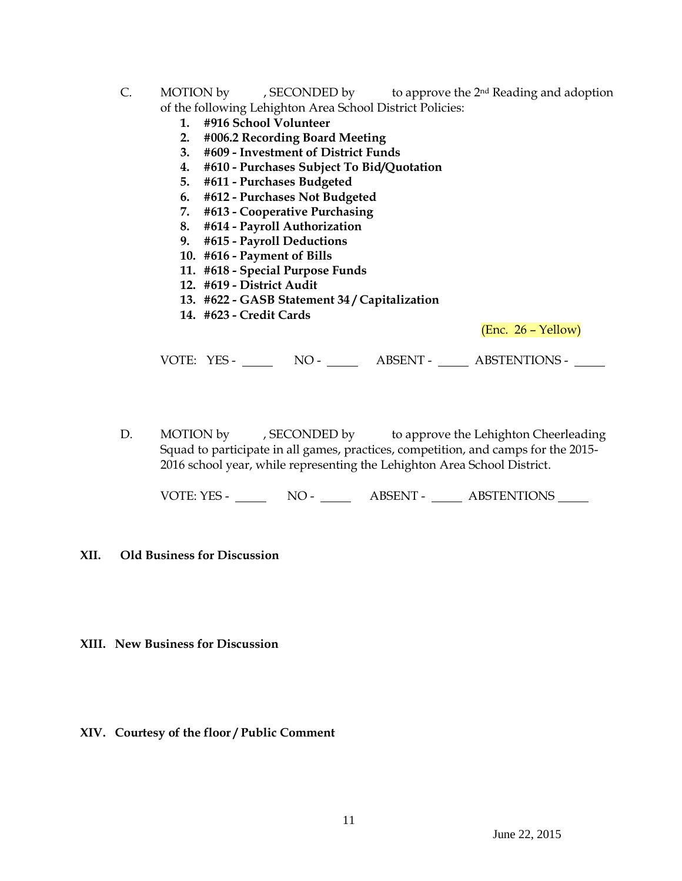- C. MOTION by , SECONDED by to approve the  $2<sup>nd</sup>$  Reading and adoption of the following Lehighton Area School District Policies:
	- **1. #916 School Volunteer**
	- **2. #006.2 Recording Board Meeting**
	- **3. #609 - Investment of District Funds**
	- **4. #610 - Purchases Subject To Bid/Quotation**
	- **5. #611 - Purchases Budgeted**
	- **6. #612 - Purchases Not Budgeted**
	- **7. #613 - Cooperative Purchasing**
	- **8. #614 - Payroll Authorization**
	- **9. #615 - Payroll Deductions**
	- **10. #616 - Payment of Bills**
	- **11. #618 - Special Purpose Funds**
	- **12. #619 - District Audit**
	- **13. #622 - GASB Statement 34 / Capitalization**
	- **14. #623 - Credit Cards**

(Enc. 26 – Yellow)

VOTE: YES - NO - NO - ABSENT - ABSTENTIONS - NO

D. MOTION by , SECONDED by to approve the Lehighton Cheerleading Squad to participate in all games, practices, competition, and camps for the 2015- 2016 school year, while representing the Lehighton Area School District.

VOTE: YES - NO - ABSENT - ABSTENTIONS

## **XII. Old Business for Discussion**

- **XIII. New Business for Discussion**
- **XIV. Courtesy of the floor / Public Comment**